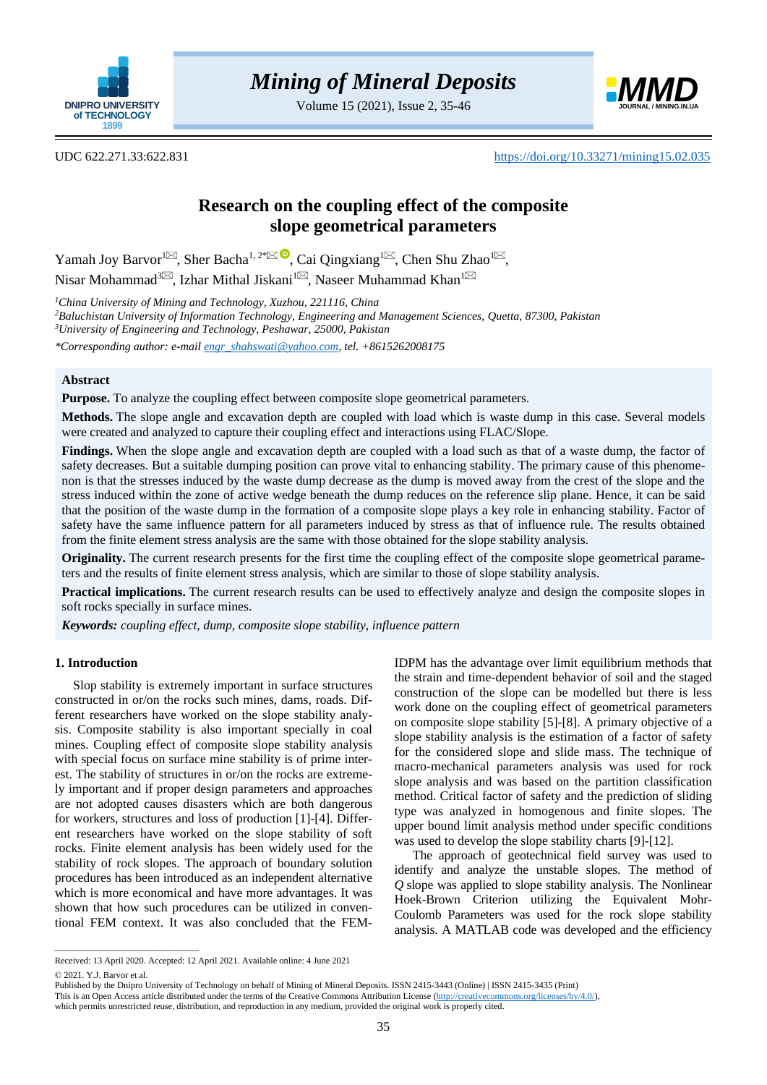

Volume 15 (2021), Issue 2, 35-46



UDC 622.271.33:622.831 <https://doi.org/10.33271/mining15.02.035>

# **Research on the coupling effect of the composite slope geometrical parameters**

Yamah Joy Barvor<sup>1 $\bowtie$ </sup>[,](mailto:chshzh@163.com) Sher Bacha<sup>1, 2[\\*](mailto:engr_shahswati@yahoo.com)</sup>  $\bowtie$  Cai Qingxiang<sup>1 $\bowtie$ </sup>, Chen Shu Zhao<sup>1 $\bowtie$ </sup>, Nisar Mohammad $^{3\!{\boxtimes}},$  $^{3\!{\boxtimes}},$  Izhar Mithal Jiskani $^{1\!{\boxtimes}},$  $^{1\!{\boxtimes}},$  $^{1\!{\boxtimes}},$  Naseer Muhammad Khan $^1$ 

*<sup>1</sup>China University of Mining and Technology, Xuzhou, 221116, China*

*<sup>2</sup>Baluchistan University of Information Technology, Engineering and Management Sciences, Quetta, 87300, Pakistan <sup>3</sup>University of Engineering and Technology, Peshawar, 25000, Pakistan*

*\*Corresponding author: e-mail [engr\\_shahswati@yahoo.com,](mailto:engr_shahswati@yahoo.com) tel. +8615262008175*

# **Abstract**

**Purpose.** To analyze the coupling effect between composite slope geometrical parameters.

**Methods.** The slope angle and excavation depth are coupled with load which is waste dump in this case. Several models were created and analyzed to capture their coupling effect and interactions using FLAC/Slope.

**Findings.** When the slope angle and excavation depth are coupled with a load such as that of a waste dump, the factor of safety decreases. But a suitable dumping position can prove vital to enhancing stability. The primary cause of this phenomenon is that the stresses induced by the waste dump decrease as the dump is moved away from the crest of the slope and the stress induced within the zone of active wedge beneath the dump reduces on the reference slip plane. Hence, it can be said that the position of the waste dump in the formation of a composite slope plays a key role in enhancing stability. Factor of safety have the same influence pattern for all parameters induced by stress as that of influence rule. The results obtained from the finite element stress analysis are the same with those obtained for the slope stability analysis.

**Originality.** The current research presents for the first time the coupling effect of the composite slope geometrical parameters and the results of finite element stress analysis, which are similar to those of slope stability analysis.

**Practical implications.** The current research results can be used to effectively analyze and design the composite slopes in soft rocks specially in surface mines.

*Keywords: coupling effect, dump, composite slope stability, influence pattern*

### **1. Introduction**

Slop stability is extremely important in surface structures constructed in or/on the rocks such mines, dams, roads. Different researchers have worked on the slope stability analysis. Composite stability is also important specially in coal mines. Coupling effect of composite slope stability analysis with special focus on surface mine stability is of prime interest. The stability of structures in or/on the rocks are extremely important and if proper design parameters and approaches are not adopted causes disasters which are both dangerous for workers, structures and loss of production [\[1\]](#page-10-0)[-\[4\].](#page-10-1) Different researchers have worked on the slope stability of soft rocks. Finite element analysis has been widely used for the stability of rock slopes. The approach of boundary solution procedures has been introduced as an independent alternative which is more economical and have more advantages. It was shown that how such procedures can be utilized in conventional FEM context. It was also concluded that the FEM-

IDPM has the advantage over limit equilibrium methods that the strain and time-dependent behavior of soil and the staged construction of the slope can be modelled but there is less work done on the coupling effect of geometrical parameters on composite slope stability [\[5\]](#page-10-2)[-\[8\].](#page-10-3) A primary objective of a slope stability analysis is the estimation of a factor of safety for the considered slope and slide mass. The technique of macro-mechanical parameters analysis was used for rock slope analysis and was based on the partition classification method. Critical factor of safety and the prediction of sliding type was analyzed in homogenous and finite slopes. The upper bound limit analysis method under specific conditions was used to develop the slope stability charts [\[9\]-](#page-10-4)[\[12\].](#page-10-5)

The approach of geotechnical field survey was used to identify and analyze the unstable slopes. The method of *Q* slope was applied to slope stability analysis. The Nonlinear Hoek-Brown Criterion utilizing the Equivalent Mohr-Coulomb Parameters was used for the rock slope stability analysis. A MATLAB code was developed and the efficiency

 $\overline{\phantom{a}}$  ,  $\overline{\phantom{a}}$  ,  $\overline{\phantom{a}}$  ,  $\overline{\phantom{a}}$  ,  $\overline{\phantom{a}}$  ,  $\overline{\phantom{a}}$  ,  $\overline{\phantom{a}}$  ,  $\overline{\phantom{a}}$  ,  $\overline{\phantom{a}}$  ,  $\overline{\phantom{a}}$  ,  $\overline{\phantom{a}}$  ,  $\overline{\phantom{a}}$  ,  $\overline{\phantom{a}}$  ,  $\overline{\phantom{a}}$  ,  $\overline{\phantom{a}}$  ,  $\overline{\phantom{a}}$ 

Received: 13 April 2020. Accepted: 12 April 2021. Available online: 4 June 2021 © 2021. Y.J. Barvor et al.

Published by the Dnipro University of Technology on behalf of Mining of Mineral Deposits. ISSN 2415-3443 (Online) | ISSN 2415-3435 (Print)

This is an Open Access article distributed under the terms of the Creative Commons Attribution License [\(http://creativecommons.org/licenses/by/4.0/\)](http://creativecommons.org/licenses/by/4.0/),

which permits unrestricted reuse, distribution, and reproduction in any medium, provided the original work is properly cited.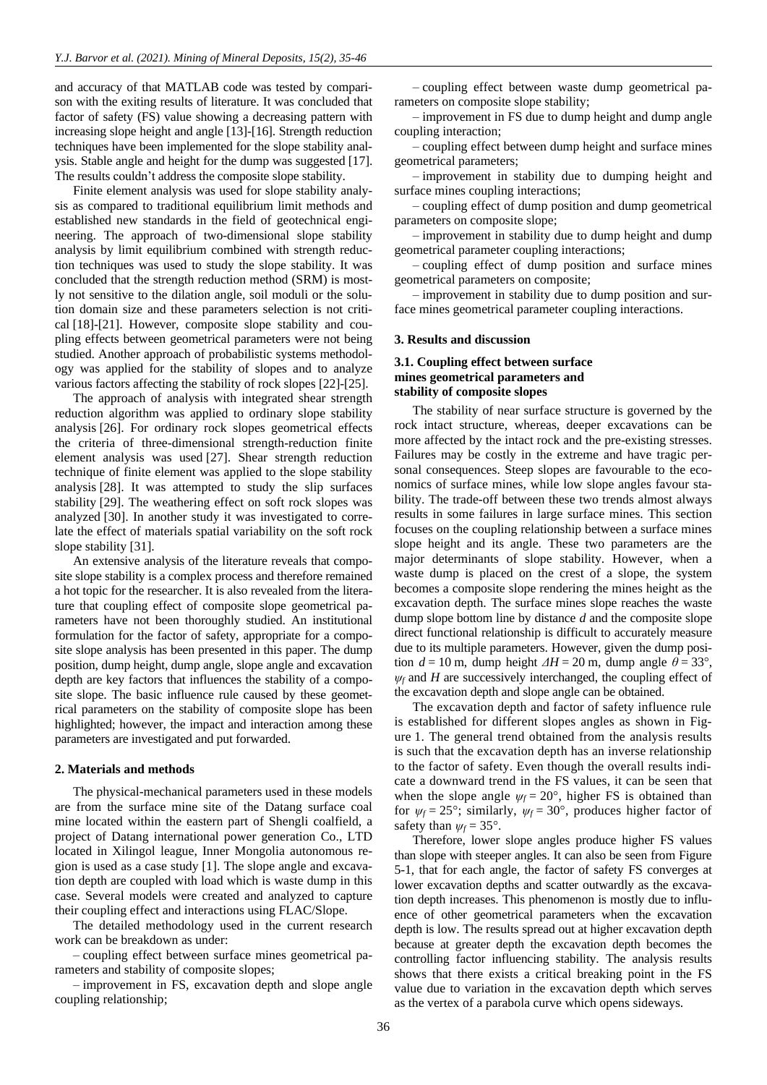and accuracy of that MATLAB code was tested by comparison with the exiting results of literature. It was concluded that factor of safety (FS) value showing a decreasing pattern with increasing slope height and angle [\[13\]](#page-10-6)[-\[16\].](#page-10-7) Strength reduction techniques have been implemented for the slope stability analysis. Stable angle and height for the dump was suggested [\[17\].](#page-10-8) The results couldn't address the composite slope stability.

Finite element analysis was used for slope stability analysis as compared to traditional equilibrium limit methods and established new standards in the field of geotechnical engineering. The approach of two-dimensional slope stability analysis by limit equilibrium combined with strength reduction techniques was used to study the slope stability. It was concluded that the strength reduction method (SRM) is mostly not sensitive to the dilation angle, soil moduli or the solution domain size and these parameters selection is not critical [\[18\]](#page-10-9)[-\[21\].](#page-10-10) However, composite slope stability and coupling effects between geometrical parameters were not being studied. Another approach of probabilistic systems methodology was applied for the stability of slopes and to analyze various factors affecting the stability of rock slopes [\[22\]](#page-10-11)[-\[25\].](#page-10-12)

The approach of analysis with integrated shear strength reduction algorithm was applied to ordinary slope stability analysis [\[26\].](#page-10-13) For ordinary rock slopes geometrical effects the criteria of three-dimensional strength-reduction finite element analysis was used [\[27\].](#page-10-14) Shear strength reduction technique of finite element was applied to the slope stability analysis [\[28\].](#page-10-15) It was attempted to study the slip surfaces stability [\[29\].](#page-10-16) The weathering effect on soft rock slopes was analyzed [\[30\].](#page-10-17) In another study it was investigated to correlate the effect of materials spatial variability on the soft rock slope stability [\[31\].](#page-10-18)

An extensive analysis of the literature reveals that composite slope stability is a complex process and therefore remained a hot topic for the researcher. It is also revealed from the literature that coupling effect of composite slope geometrical parameters have not been thoroughly studied. An institutional formulation for the factor of safety, appropriate for a composite slope analysis has been presented in this paper. The dump position, dump height, dump angle, slope angle and excavation depth are key factors that influences the stability of a composite slope. The basic influence rule caused by these geometrical parameters on the stability of composite slope has been highlighted; however, the impact and interaction among these parameters are investigated and put forwarded.

#### **2. Materials and methods**

The physical-mechanical parameters used in these models are from the surface mine site of the Datang surface coal mine located within the eastern part of Shengli coalfield, a project of Datang international power generation Co., LTD located in Xilingol league, Inner Mongolia autonomous region is used as a case study [\[1\].](#page-10-0) The slope angle and excavation depth are coupled with load which is waste dump in this case. Several models were created and analyzed to capture their coupling effect and interactions using FLAC/Slope.

The detailed methodology used in the current research work can be breakdown as under:

– coupling effect between surface mines geometrical parameters and stability of composite slopes;

– improvement in FS, excavation depth and slope angle coupling relationship;

– coupling effect between waste dump geometrical parameters on composite slope stability;

– improvement in FS due to dump height and dump angle coupling interaction;

– coupling effect between dump height and surface mines geometrical parameters;

– improvement in stability due to dumping height and surface mines coupling interactions;

– coupling effect of dump position and dump geometrical parameters on composite slope;

– improvement in stability due to dump height and dump geometrical parameter coupling interactions;

– coupling effect of dump position and surface mines geometrical parameters on composite;

– improvement in stability due to dump position and surface mines geometrical parameter coupling interactions.

#### **3. Results and discussion**

# **3.1. Coupling effect between surface mines geometrical parameters and stability of composite slopes**

The stability of near surface structure is governed by the rock intact structure, whereas, deeper excavations can be more affected by the intact rock and the pre-existing stresses. Failures may be costly in the extreme and have tragic personal consequences. Steep slopes are favourable to the economics of surface mines, while low slope angles favour stability. The trade-off between these two trends almost always results in some failures in large surface mines. This section focuses on the coupling relationship between a surface mines slope height and its angle. These two parameters are the major determinants of slope stability. However, when a waste dump is placed on the crest of a slope, the system becomes a composite slope rendering the mines height as the excavation depth. The surface mines slope reaches the waste dump slope bottom line by distance *d* and the composite slope direct functional relationship is difficult to accurately measure due to its multiple parameters. However, given the dump position  $d = 10$  m, dump height  $\Delta H = 20$  m, dump angle  $\theta = 33^{\circ}$ ,  $\psi_f$  and *H* are successively interchanged, the coupling effect of the excavation depth and slope angle can be obtained.

The excavation depth and factor of safety influence rule is established for different slopes angles as shown in Figure 1. The general trend obtained from the analysis results is such that the excavation depth has an inverse relationship to the factor of safety. Even though the overall results indicate a downward trend in the FS values, it can be seen that when the slope angle  $\psi_f = 20^\circ$ , higher FS is obtained than for  $\psi_f = 25^\circ$ ; similarly,  $\psi_f = 30^\circ$ , produces higher factor of safety than  $\psi_f = 35^\circ$ .

Therefore, lower slope angles produce higher FS values than slope with steeper angles. It can also be seen from Figure 5-1, that for each angle, the factor of safety FS converges at lower excavation depths and scatter outwardly as the excavation depth increases. This phenomenon is mostly due to influence of other geometrical parameters when the excavation depth is low. The results spread out at higher excavation depth because at greater depth the excavation depth becomes the controlling factor influencing stability. The analysis results shows that there exists a critical breaking point in the FS value due to variation in the excavation depth which serves as the vertex of a parabola curve which opens sideways.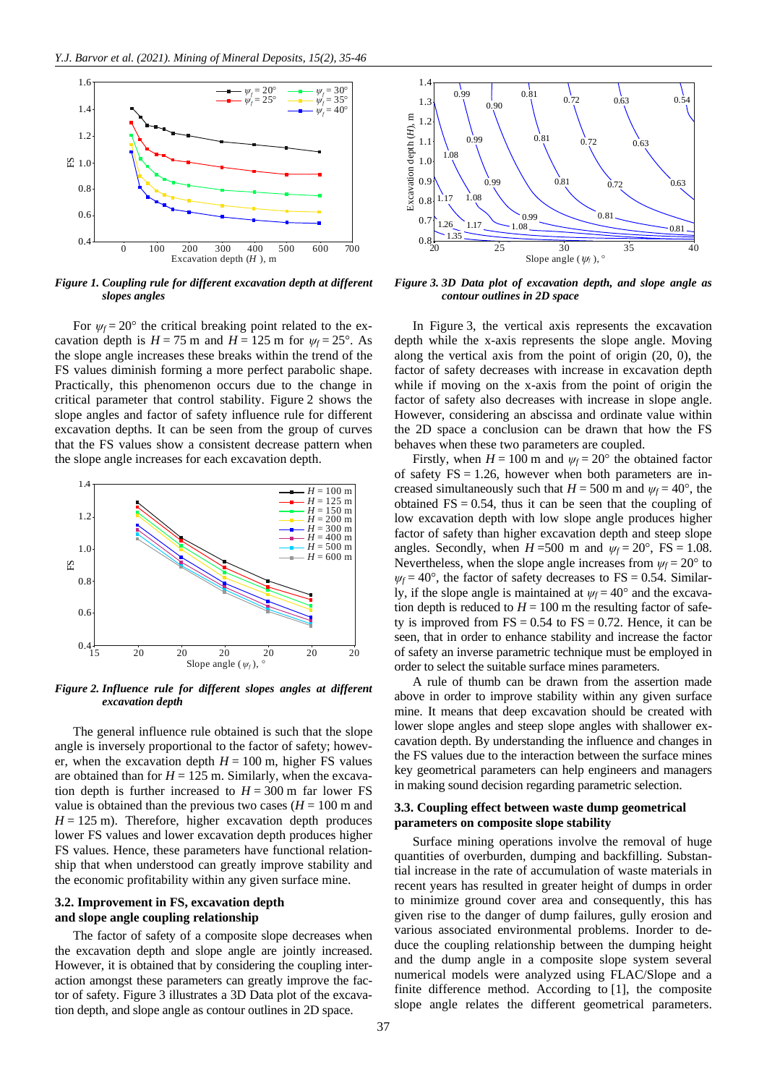

*Figure 1. Coupling rule for different excavation depth at different slopes angles*

For  $\psi_f = 20^\circ$  the critical breaking point related to the excavation depth is  $H = 75$  m and  $H = 125$  m for  $\psi_f = 25^\circ$ . As the slope angle increases these breaks within the trend of the FS values diminish forming a more perfect parabolic shape. Practically, this phenomenon occurs due to the change in critical parameter that control stability. Figure 2 shows the slope angles and factor of safety influence rule for different excavation depths. It can be seen from the group of curves that the FS values show a consistent decrease pattern when the slope angle increases for each excavation depth.



*Figure 2. Influence rule for different slopes angles at different excavation depth*

The general influence rule obtained is such that the slope angle is inversely proportional to the factor of safety; however, when the excavation depth  $H = 100$  m, higher FS values are obtained than for  $H = 125$  m. Similarly, when the excavation depth is further increased to  $H = 300$  m far lower FS value is obtained than the previous two cases  $(H = 100 \text{ m and})$  $H = 125$  m). Therefore, higher excavation depth produces lower FS values and lower excavation depth produces higher FS values. Hence, these parameters have functional relationship that when understood can greatly improve stability and the economic profitability within any given surface mine.

# **3.2. Improvement in FS, excavation depth and slope angle coupling relationship**

The factor of safety of a composite slope decreases when the excavation depth and slope angle are jointly increased. However, it is obtained that by considering the coupling interaction amongst these parameters can greatly improve the factor of safety. Figure 3 illustrates a 3D Data plot of the excavation depth, and slope angle as contour outlines in 2D space.



*Figure 3. 3D Data plot of excavation depth, and slope angle as contour outlines in 2D space*

In Figure 3, the vertical axis represents the excavation depth while the x-axis represents the slope angle. Moving along the vertical axis from the point of origin (20, 0), the factor of safety decreases with increase in excavation depth while if moving on the x-axis from the point of origin the factor of safety also decreases with increase in slope angle. However, considering an abscissa and ordinate value within the 2D space a conclusion can be drawn that how the FS behaves when these two parameters are coupled.

Firstly, when  $H = 100$  m and  $\psi_f = 20^\circ$  the obtained factor of safety  $FS = 1.26$ , however when both parameters are increased simultaneously such that  $H = 500$  m and  $\psi_f = 40^\circ$ , the obtained  $FS = 0.54$ , thus it can be seen that the coupling of low excavation depth with low slope angle produces higher factor of safety than higher excavation depth and steep slope angles. Secondly, when  $H = 500$  m and  $\psi_f = 20^\circ$ , FS = 1.08. Nevertheless, when the slope angle increases from  $\psi_f = 20^\circ$  to  $\psi_f = 40^\circ$ , the factor of safety decreases to FS = 0.54. Similarly, if the slope angle is maintained at  $\psi_f = 40^\circ$  and the excavation depth is reduced to  $H = 100$  m the resulting factor of safety is improved from  $FS = 0.54$  to  $FS = 0.72$ . Hence, it can be seen, that in order to enhance stability and increase the factor of safety an inverse parametric technique must be employed in order to select the suitable surface mines parameters.

A rule of thumb can be drawn from the assertion made above in order to improve stability within any given surface mine. It means that deep excavation should be created with lower slope angles and steep slope angles with shallower excavation depth. By understanding the influence and changes in the FS values due to the interaction between the surface mines key geometrical parameters can help engineers and managers in making sound decision regarding parametric selection.

### **3.3. Coupling effect between waste dump geometrical parameters on composite slope stability**

Surface mining operations involve the removal of huge quantities of overburden, dumping and backfilling. Substantial increase in the rate of accumulation of waste materials in recent years has resulted in greater height of dumps in order to minimize ground cover area and consequently, this has given rise to the danger of dump failures, gully erosion and various associated environmental problems. Inorder to deduce the coupling relationship between the dumping height and the dump angle in a composite slope system several numerical models were analyzed using FLAC/Slope and a finite difference method. According to [\[1\],](#page-10-0) the composite slope angle relates the different geometrical parameters.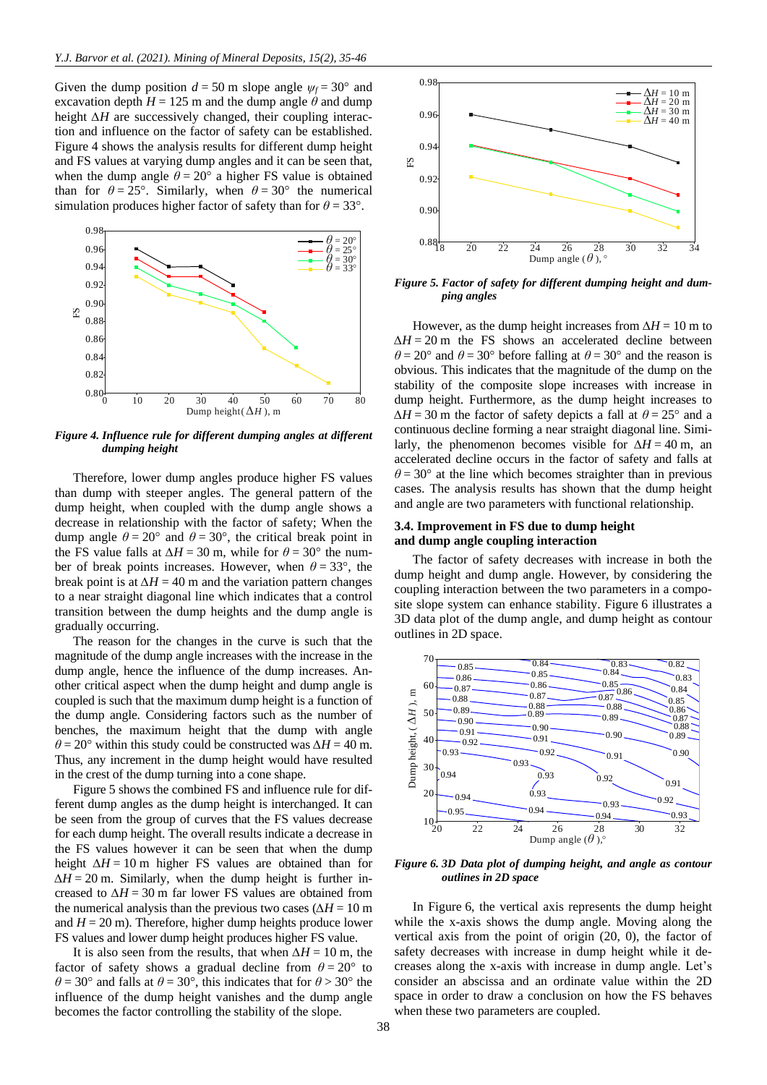Given the dump position  $d = 50$  m slope angle  $\psi_f = 30^\circ$  and excavation depth  $H = 125$  m and the dump angle  $\theta$  and dump height *∆H* are successively changed, their coupling interaction and influence on the factor of safety can be established. Figure 4 shows the analysis results for different dump height and FS values at varying dump angles and it can be seen that, when the dump angle  $\theta = 20^{\circ}$  a higher FS value is obtained than for  $\theta = 25^{\circ}$ . Similarly, when  $\theta = 30^{\circ}$  the numerical simulation produces higher factor of safety than for  $\theta = 33^{\circ}$ .



*Figure 4. Influence rule for different dumping angles at different dumping height*

Therefore, lower dump angles produce higher FS values than dump with steeper angles. The general pattern of the dump height, when coupled with the dump angle shows a decrease in relationship with the factor of safety; When the dump angle  $\theta = 20^{\circ}$  and  $\theta = 30^{\circ}$ , the critical break point in the FS value falls at  $\Delta H = 30$  m, while for  $\theta = 30^{\circ}$  the number of break points increases. However, when  $\theta = 33^{\circ}$ , the break point is at  $\Delta H = 40$  m and the variation pattern changes to a near straight diagonal line which indicates that a control transition between the dump heights and the dump angle is gradually occurring.

The reason for the changes in the curve is such that the magnitude of the dump angle increases with the increase in the dump angle, hence the influence of the dump increases. Another critical aspect when the dump height and dump angle is coupled is such that the maximum dump height is a function of the dump angle. Considering factors such as the number of benches, the maximum height that the dump with angle  $\theta$  = 20° within this study could be constructed was  $\Delta H = 40$  m. Thus, any increment in the dump height would have resulted in the crest of the dump turning into a cone shape.

Figure 5 shows the combined FS and influence rule for different dump angles as the dump height is interchanged. It can be seen from the group of curves that the FS values decrease for each dump height. The overall results indicate a decrease in the FS values however it can be seen that when the dump height *∆H* = 10 m higher FS values are obtained than for *∆H* = 20 m. Similarly, when the dump height is further increased to  $\Delta H = 30$  m far lower FS values are obtained from the numerical analysis than the previous two cases ( $\Delta H = 10$  m and  $H = 20$  m). Therefore, higher dump heights produce lower FS values and lower dump height produces higher FS value.

It is also seen from the results, that when  $\Delta H = 10$  m, the factor of safety shows a gradual decline from  $\theta = 20^{\circ}$  to  $\theta$  = 30° and falls at  $\theta$  = 30°, this indicates that for  $\theta$  > 30° the influence of the dump height vanishes and the dump angle becomes the factor controlling the stability of the slope.



*Figure 5. Factor of safety for different dumping height and dumping angles*

However, as the dump height increases from  $\Delta H = 10$  m to *∆H* = 20 m the FS shows an accelerated decline between  $\theta$  = 20° and  $\theta$  = 30° before falling at  $\theta$  = 30° and the reason is obvious. This indicates that the magnitude of the dump on the stability of the composite slope increases with increase in dump height. Furthermore, as the dump height increases to  $\Delta H = 30$  m the factor of safety depicts a fall at  $\theta = 25^{\circ}$  and a continuous decline forming a near straight diagonal line. Similarly, the phenomenon becomes visible for  $\Delta H = 40$  m, an accelerated decline occurs in the factor of safety and falls at  $\theta$  = 30° at the line which becomes straighter than in previous cases. The analysis results has shown that the dump height and angle are two parameters with functional relationship.

#### **3.4. Improvement in FS due to dump height and dump angle coupling interaction**

The factor of safety decreases with increase in both the dump height and dump angle. However, by considering the coupling interaction between the two parameters in a composite slope system can enhance stability. Figure 6 illustrates a 3D data plot of the dump angle, and dump height as contour outlines in 2D space.



*Figure 6. 3D Data plot of dumping height, and angle as contour outlines in 2D space*

In Figure 6, the vertical axis represents the dump height while the x-axis shows the dump angle. Moving along the vertical axis from the point of origin (20, 0), the factor of safety decreases with increase in dump height while it decreases along the x-axis with increase in dump angle. Let's consider an abscissa and an ordinate value within the 2D space in order to draw a conclusion on how the FS behaves when these two parameters are coupled.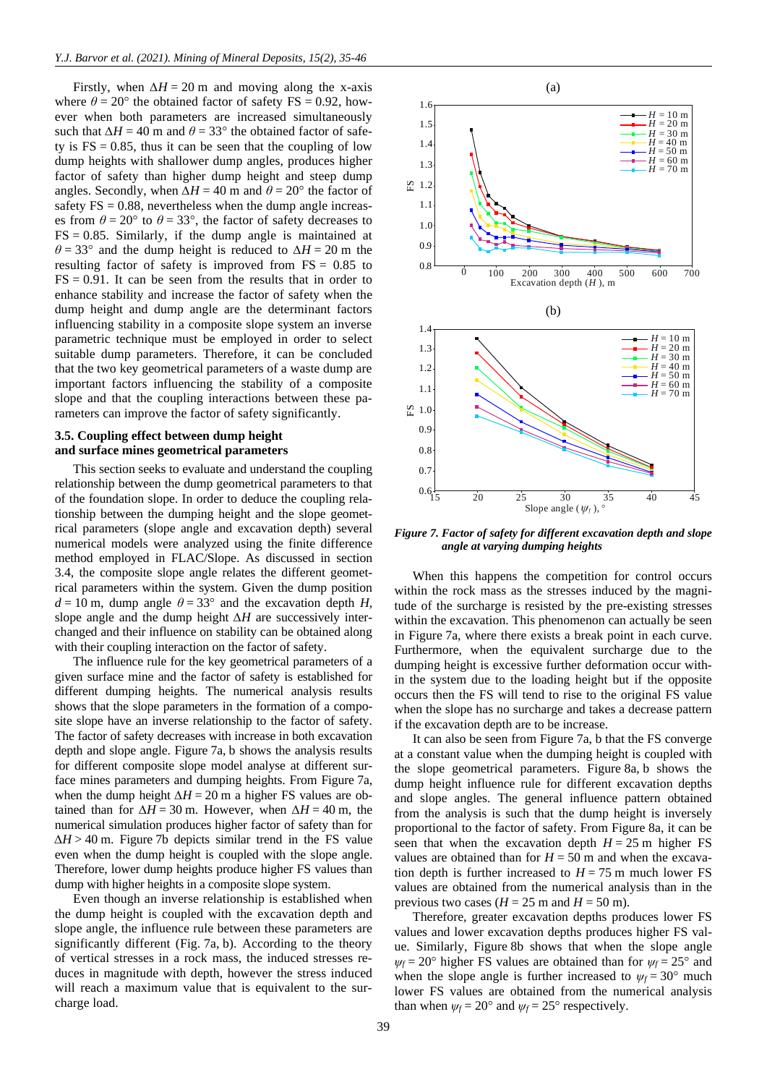Firstly, when  $\Delta H = 20$  m and moving along the x-axis where  $\theta = 20^{\circ}$  the obtained factor of safety FS = 0.92, however when both parameters are increased simultaneously such that  $\Delta H = 40$  m and  $\theta = 33^{\circ}$  the obtained factor of safety is  $FS = 0.85$ , thus it can be seen that the coupling of low dump heights with shallower dump angles, produces higher factor of safety than higher dump height and steep dump angles. Secondly, when  $\Delta H = 40$  m and  $\theta = 20^{\circ}$  the factor of safety  $FS = 0.88$ , nevertheless when the dump angle increases from  $\theta = 20^{\circ}$  to  $\theta = 33^{\circ}$ , the factor of safety decreases to  $FS = 0.85$ . Similarly, if the dump angle is maintained at  $\theta$  = 33° and the dump height is reduced to  $\Delta H$  = 20 m the resulting factor of safety is improved from FS = 0.85 to  $FS = 0.91$ . It can be seen from the results that in order to enhance stability and increase the factor of safety when the dump height and dump angle are the determinant factors influencing stability in a composite slope system an inverse parametric technique must be employed in order to select suitable dump parameters. Therefore, it can be concluded that the two key geometrical parameters of a waste dump are important factors influencing the stability of a composite slope and that the coupling interactions between these parameters can improve the factor of safety significantly.

# **3.5. Coupling effect between dump height and surface mines geometrical parameters**

This section seeks to evaluate and understand the coupling relationship between the dump geometrical parameters to that of the foundation slope. In order to deduce the coupling relationship between the dumping height and the slope geometrical parameters (slope angle and excavation depth) several numerical models were analyzed using the finite difference method employed in FLAC/Slope. As discussed in section 3.4, the composite slope angle relates the different geometrical parameters within the system. Given the dump position  $d = 10$  m, dump angle  $\theta = 33^{\circ}$  and the excavation depth *H*, slope angle and the dump height *∆H* are successively interchanged and their influence on stability can be obtained along with their coupling interaction on the factor of safety.

The influence rule for the key geometrical parameters of a given surface mine and the factor of safety is established for different dumping heights. The numerical analysis results shows that the slope parameters in the formation of a composite slope have an inverse relationship to the factor of safety. The factor of safety decreases with increase in both excavation depth and slope angle. Figure 7a, b shows the analysis results for different composite slope model analyse at different surface mines parameters and dumping heights. From Figure 7a, when the dump height *∆H* = 20 m a higher FS values are obtained than for  $\Delta H = 30$  m. However, when  $\Delta H = 40$  m, the numerical simulation produces higher factor of safety than for *∆H* > 40 m. Figure 7b depicts similar trend in the FS value even when the dump height is coupled with the slope angle. Therefore, lower dump heights produce higher FS values than dump with higher heights in a composite slope system.

Even though an inverse relationship is established when the dump height is coupled with the excavation depth and slope angle, the influence rule between these parameters are significantly different (Fig. 7a, b). According to the theory of vertical stresses in a rock mass, the induced stresses reduces in magnitude with depth, however the stress induced will reach a maximum value that is equivalent to the surcharge load.



*Figure 7. Factor of safety for different excavation depth and slope angle at varying dumping heights*

When this happens the competition for control occurs within the rock mass as the stresses induced by the magnitude of the surcharge is resisted by the pre-existing stresses within the excavation. This phenomenon can actually be seen in Figure 7a, where there exists a break point in each curve. Furthermore, when the equivalent surcharge due to the dumping height is excessive further deformation occur within the system due to the loading height but if the opposite occurs then the FS will tend to rise to the original FS value when the slope has no surcharge and takes a decrease pattern if the excavation depth are to be increase.

It can also be seen from Figure 7a, b that the FS converge at a constant value when the dumping height is coupled with the slope geometrical parameters. Figure 8a, b shows the dump height influence rule for different excavation depths and slope angles. The general influence pattern obtained from the analysis is such that the dump height is inversely proportional to the factor of safety. From Figure 8a, it can be seen that when the excavation depth  $H = 25$  m higher FS values are obtained than for  $H = 50$  m and when the excavation depth is further increased to  $H = 75$  m much lower FS values are obtained from the numerical analysis than in the previous two cases ( $H = 25$  m and  $H = 50$  m).

Therefore, greater excavation depths produces lower FS values and lower excavation depths produces higher FS value. Similarly, Figure 8b shows that when the slope angle  $\psi_f = 20^\circ$  higher FS values are obtained than for  $\psi_f = 25^\circ$  and when the slope angle is further increased to  $\psi_f = 30^\circ$  much lower FS values are obtained from the numerical analysis than when  $\psi_f = 20^\circ$  and  $\psi_f = 25^\circ$  respectively.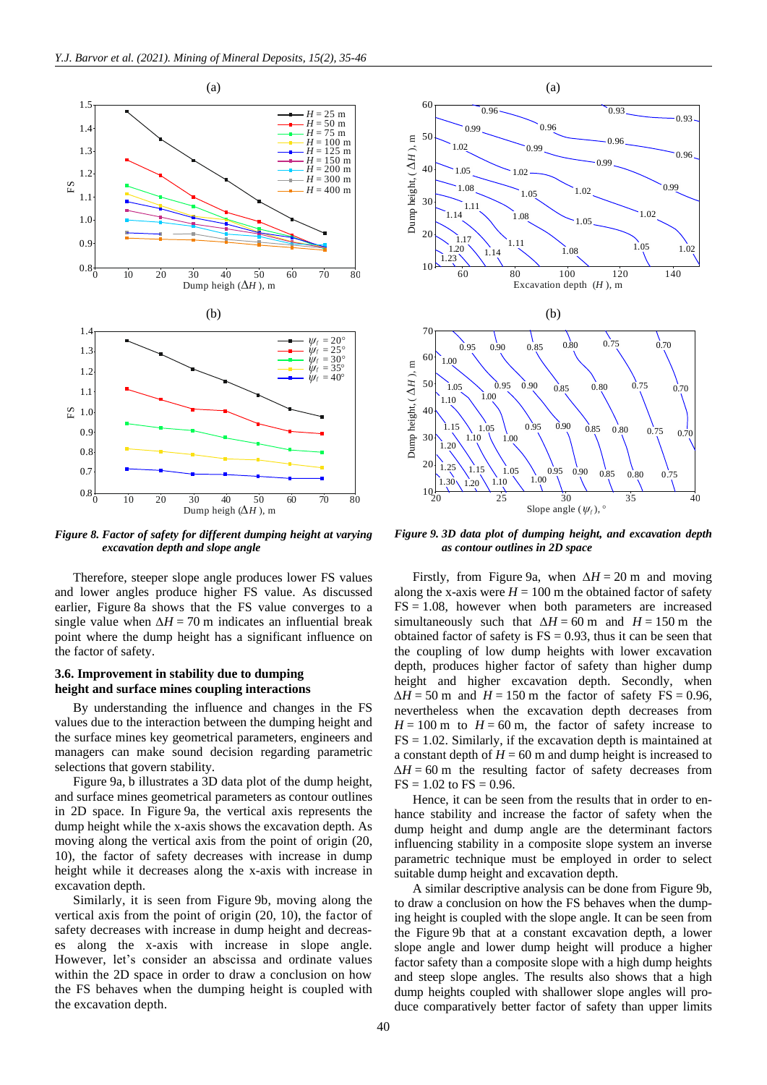

*Figure 8. Factor of safety for different dumping height at varying excavation depth and slope angle*

Therefore, steeper slope angle produces lower FS values and lower angles produce higher FS value. As discussed earlier, Figure 8a shows that the FS value converges to a single value when  $\Delta H = 70$  m indicates an influential break point where the dump height has a significant influence on the factor of safety.

# **3.6. Improvement in stability due to dumping height and surface mines coupling interactions**

By understanding the influence and changes in the FS values due to the interaction between the dumping height and the surface mines key geometrical parameters, engineers and managers can make sound decision regarding parametric selections that govern stability.

Figure 9a, b illustrates a 3D data plot of the dump height, and surface mines geometrical parameters as contour outlines in 2D space. In Figure 9a, the vertical axis represents the dump height while the x-axis shows the excavation depth. As moving along the vertical axis from the point of origin (20, 10), the factor of safety decreases with increase in dump height while it decreases along the x-axis with increase in excavation depth.

Similarly, it is seen from Figure 9b, moving along the vertical axis from the point of origin (20, 10), the factor of safety decreases with increase in dump height and decreases along the x-axis with increase in slope angle. However, let's consider an abscissa and ordinate values within the 2D space in order to draw a conclusion on how the FS behaves when the dumping height is coupled with the excavation depth.



*Figure 9. 3D data plot of dumping height, and excavation depth as contour outlines in 2D space*

Firstly, from Figure 9a, when *∆H* = 20 m and moving along the x-axis were  $H = 100$  m the obtained factor of safety  $FS = 1.08$ , however when both parameters are increased simultaneously such that  $\Delta H = 60$  m and  $H = 150$  m the obtained factor of safety is  $FS = 0.93$ , thus it can be seen that the coupling of low dump heights with lower excavation depth, produces higher factor of safety than higher dump height and higher excavation depth. Secondly, when *∆H* = 50 m and *H* = 150 m the factor of safety FS = 0.96, nevertheless when the excavation depth decreases from  $H = 100$  m to  $H = 60$  m, the factor of safety increase to  $FS = 1.02$ . Similarly, if the excavation depth is maintained at a constant depth of  $H = 60$  m and dump height is increased to  $\Delta H = 60$  m the resulting factor of safety decreases from  $FS = 1.02$  to  $FS = 0.96$ .

Hence, it can be seen from the results that in order to enhance stability and increase the factor of safety when the dump height and dump angle are the determinant factors influencing stability in a composite slope system an inverse parametric technique must be employed in order to select suitable dump height and excavation depth.

A similar descriptive analysis can be done from Figure 9b, to draw a conclusion on how the FS behaves when the dumping height is coupled with the slope angle. It can be seen from the Figure 9b that at a constant excavation depth, a lower slope angle and lower dump height will produce a higher factor safety than a composite slope with a high dump heights and steep slope angles. The results also shows that a high dump heights coupled with shallower slope angles will produce comparatively better factor of safety than upper limits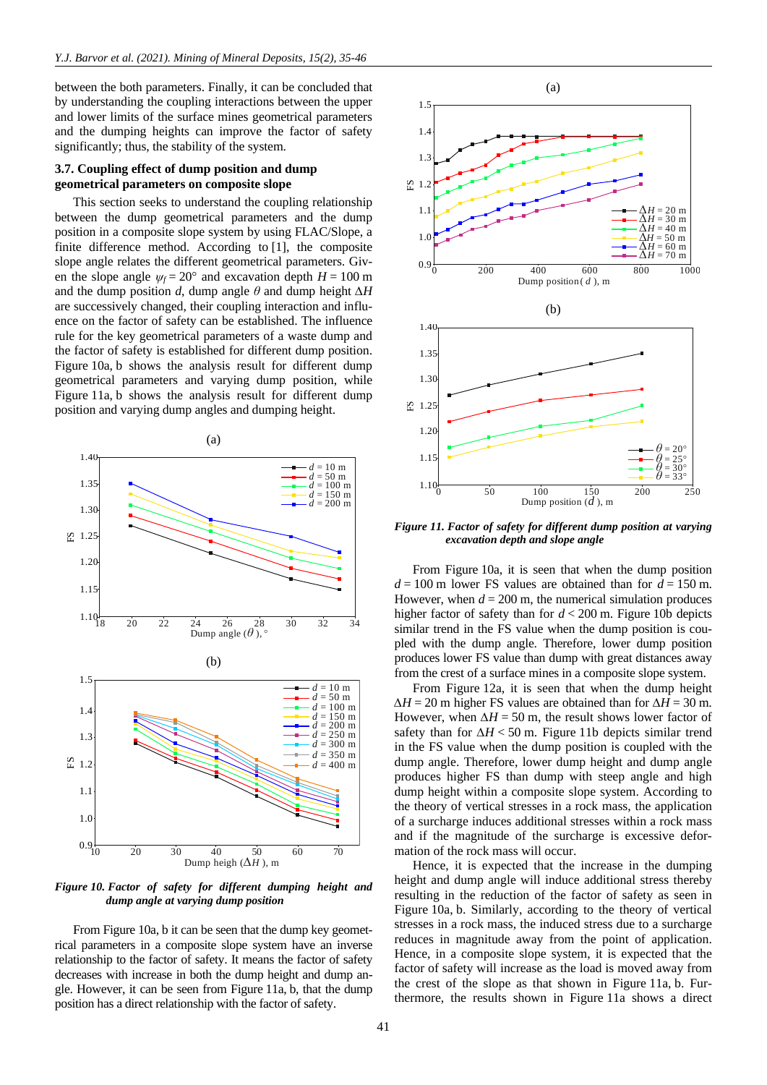between the both parameters. Finally, it can be concluded that by understanding the coupling interactions between the upper and lower limits of the surface mines geometrical parameters and the dumping heights can improve the factor of safety significantly; thus, the stability of the system.

# **3.7. Coupling effect of dump position and dump geometrical parameters on composite slope**

This section seeks to understand the coupling relationship between the dump geometrical parameters and the dump position in a composite slope system by using FLAC/Slope, a finite difference method. According to [\[1\],](#page-10-0) the composite slope angle relates the different geometrical parameters. Given the slope angle  $\psi_f = 20^\circ$  and excavation depth  $H = 100$  m and the dump position *d*, dump angle *θ* and dump height *∆H* are successively changed, their coupling interaction and influence on the factor of safety can be established. The influence rule for the key geometrical parameters of a waste dump and the factor of safety is established for different dump position. Figure 10a, b shows the analysis result for different dump geometrical parameters and varying dump position, while Figure 11a, b shows the analysis result for different dump position and varying dump angles and dumping height.



*Figure 10. Factor of safety for different dumping height and dump angle at varying dump position*

From Figure 10a, b it can be seen that the dump key geometrical parameters in a composite slope system have an inverse relationship to the factor of safety. It means the factor of safety decreases with increase in both the dump height and dump angle. However, it can be seen from Figure 11a, b, that the dump position has a direct relationship with the factor of safety.



*Figure 11. Factor of safety for different dump position at varying excavation depth and slope angle*

From Figure 10a, it is seen that when the dump position  $d = 100$  m lower FS values are obtained than for  $d = 150$  m. However, when  $d = 200$  m, the numerical simulation produces higher factor of safety than for *d* < 200 m. Figure 10b depicts similar trend in the FS value when the dump position is coupled with the dump angle. Therefore, lower dump position produces lower FS value than dump with great distances away from the crest of a surface mines in a composite slope system.

From Figure 12a, it is seen that when the dump height *∆H* = 20 m higher FS values are obtained than for *∆H* = 30 m. However, when  $\Delta H = 50$  m, the result shows lower factor of safety than for *∆H* < 50 m. Figure 11b depicts similar trend in the FS value when the dump position is coupled with the dump angle. Therefore, lower dump height and dump angle produces higher FS than dump with steep angle and high dump height within a composite slope system. According to the theory of vertical stresses in a rock mass, the application of a surcharge induces additional stresses within a rock mass and if the magnitude of the surcharge is excessive deformation of the rock mass will occur.

Hence, it is expected that the increase in the dumping height and dump angle will induce additional stress thereby resulting in the reduction of the factor of safety as seen in Figure 10a, b. Similarly, according to the theory of vertical stresses in a rock mass, the induced stress due to a surcharge reduces in magnitude away from the point of application. Hence, in a composite slope system, it is expected that the factor of safety will increase as the load is moved away from the crest of the slope as that shown in Figure 11a, b. Furthermore, the results shown in Figure 11a shows a direct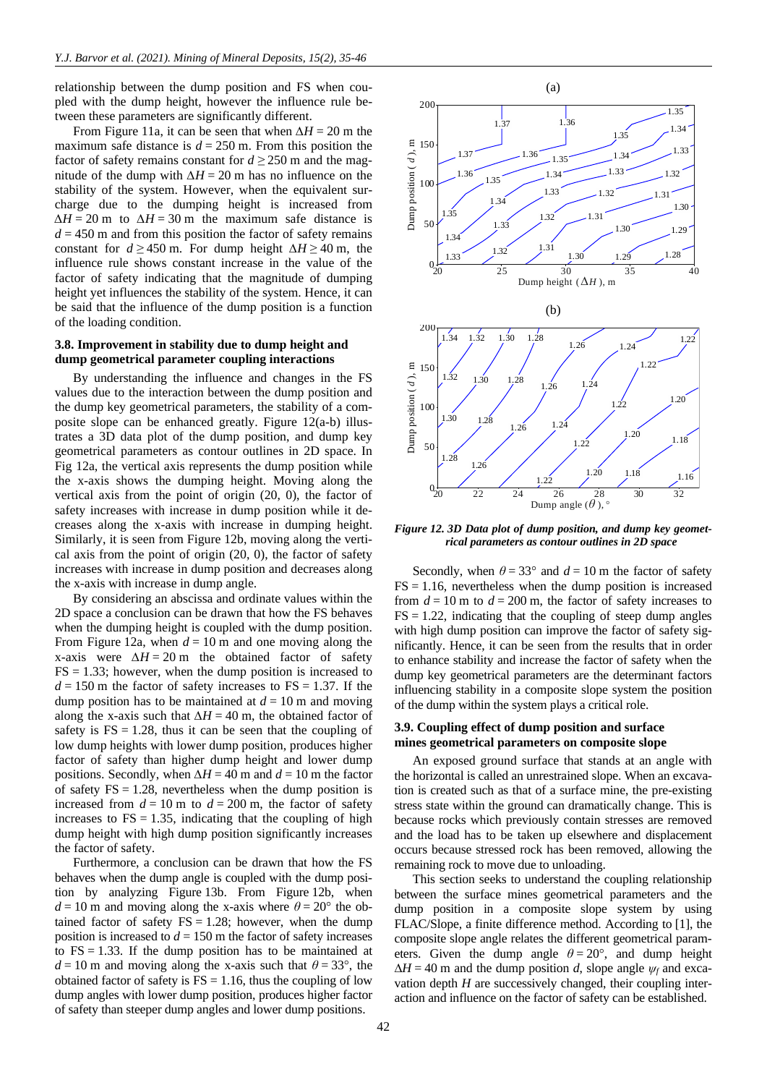relationship between the dump position and FS when coupled with the dump height, however the influence rule between these parameters are significantly different.

From Figure 11a, it can be seen that when *∆H* = 20 m the maximum safe distance is  $d = 250$  m. From this position the factor of safety remains constant for  $d \ge 250$  m and the magnitude of the dump with  $\Delta H = 20$  m has no influence on the stability of the system. However, when the equivalent surcharge due to the dumping height is increased from  $\Delta H = 20$  m to  $\Delta H = 30$  m the maximum safe distance is  $d = 450$  m and from this position the factor of safety remains constant for  $d \ge 450$  m. For dump height  $\Delta H \ge 40$  m, the influence rule shows constant increase in the value of the factor of safety indicating that the magnitude of dumping height yet influences the stability of the system. Hence, it can be said that the influence of the dump position is a function of the loading condition.

# **3.8. Improvement in stability due to dump height and dump geometrical parameter coupling interactions**

By understanding the influence and changes in the FS values due to the interaction between the dump position and the dump key geometrical parameters, the stability of a composite slope can be enhanced greatly. Figure 12(a-b) illustrates a 3D data plot of the dump position, and dump key geometrical parameters as contour outlines in 2D space. In Fig 12a, the vertical axis represents the dump position while the x-axis shows the dumping height. Moving along the vertical axis from the point of origin (20, 0), the factor of safety increases with increase in dump position while it decreases along the x-axis with increase in dumping height. Similarly, it is seen from Figure 12b, moving along the vertical axis from the point of origin (20, 0), the factor of safety increases with increase in dump position and decreases along the x-axis with increase in dump angle.

By considering an abscissa and ordinate values within the 2D space a conclusion can be drawn that how the FS behaves when the dumping height is coupled with the dump position. From Figure 12a, when  $d = 10$  m and one moving along the x-axis were  $\Delta H = 20$  m the obtained factor of safety  $FS = 1.33$ ; however, when the dump position is increased to  $d = 150$  m the factor of safety increases to  $FS = 1.37$ . If the dump position has to be maintained at  $d = 10$  m and moving along the x-axis such that  $\Delta H = 40$  m, the obtained factor of safety is  $FS = 1.28$ , thus it can be seen that the coupling of low dump heights with lower dump position, produces higher factor of safety than higher dump height and lower dump positions. Secondly, when *∆H* = 40 m and *d* = 10 m the factor of safety  $FS = 1.28$ , nevertheless when the dump position is increased from  $d = 10$  m to  $d = 200$  m, the factor of safety increases to  $FS = 1.35$ , indicating that the coupling of high dump height with high dump position significantly increases the factor of safety.

Furthermore, a conclusion can be drawn that how the FS behaves when the dump angle is coupled with the dump position by analyzing Figure 13b. From Figure 12b, when  $d = 10$  m and moving along the x-axis where  $\theta = 20^{\circ}$  the obtained factor of safety  $FS = 1.28$ ; however, when the dump position is increased to  $d = 150$  m the factor of safety increases to  $FS = 1.33$ . If the dump position has to be maintained at  $d = 10$  m and moving along the x-axis such that  $\theta = 33^{\circ}$ , the obtained factor of safety is  $FS = 1.16$ , thus the coupling of low dump angles with lower dump position, produces higher factor of safety than steeper dump angles and lower dump positions.



*Figure 12. 3D Data plot of dump position, and dump key geometrical parameters as contour outlines in 2D space* 

Secondly, when  $\theta = 33^{\circ}$  and  $d = 10$  m the factor of safety  $FS = 1.16$ , nevertheless when the dump position is increased from  $d = 10$  m to  $d = 200$  m, the factor of safety increases to  $FS = 1.22$ , indicating that the coupling of steep dump angles with high dump position can improve the factor of safety significantly. Hence, it can be seen from the results that in order to enhance stability and increase the factor of safety when the dump key geometrical parameters are the determinant factors influencing stability in a composite slope system the position of the dump within the system plays a critical role.

# **3.9. Coupling effect of dump position and surface mines geometrical parameters on composite slope**

An exposed ground surface that stands at an angle with the horizontal is called an unrestrained slope. When an excavation is created such as that of a surface mine, the pre-existing stress state within the ground can dramatically change. This is because rocks which previously contain stresses are removed and the load has to be taken up elsewhere and displacement occurs because stressed rock has been removed, allowing the remaining rock to move due to unloading.

This section seeks to understand the coupling relationship between the surface mines geometrical parameters and the dump position in a composite slope system by using FLAC/Slope, a finite difference method. According to [\[1\],](#page-10-0) the composite slope angle relates the different geometrical parameters. Given the dump angle  $\theta = 20^{\circ}$ , and dump height  $\Delta H = 40$  m and the dump position *d*, slope angle  $\psi_f$  and excavation depth *H* are successively changed, their coupling interaction and influence on the factor of safety can be established.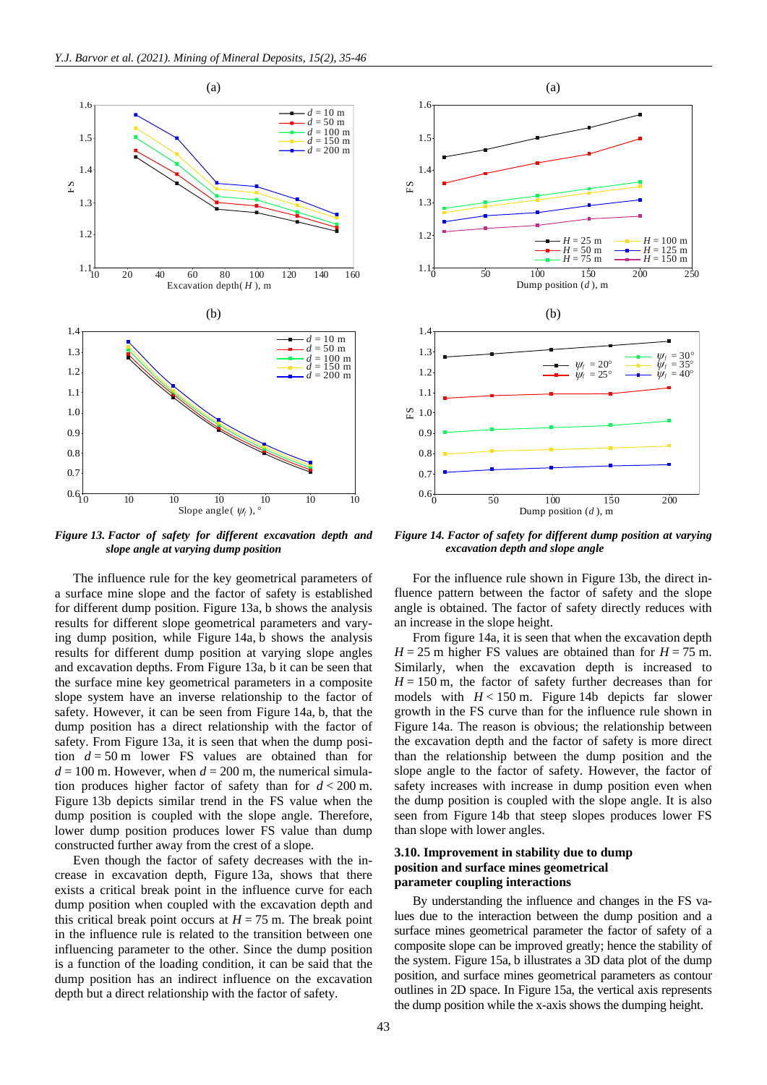

*Figure 13. Factor of safety for different excavation depth and slope angle at varying dump position*

The influence rule for the key geometrical parameters of a surface mine slope and the factor of safety is established for different dump position. Figure 13a, b shows the analysis results for different slope geometrical parameters and varying dump position, while Figure 14a, b shows the analysis results for different dump position at varying slope angles and excavation depths. From Figure 13a, b it can be seen that the surface mine key geometrical parameters in a composite slope system have an inverse relationship to the factor of safety. However, it can be seen from Figure 14a, b, that the dump position has a direct relationship with the factor of safety. From Figure 13a, it is seen that when the dump position  $d = 50$  m lower FS values are obtained than for  $d = 100$  m. However, when  $d = 200$  m, the numerical simulation produces higher factor of safety than for *d* < 200 m. Figure 13b depicts similar trend in the FS value when the dump position is coupled with the slope angle. Therefore, lower dump position produces lower FS value than dump constructed further away from the crest of a slope.

Even though the factor of safety decreases with the increase in excavation depth, Figure 13a, shows that there exists a critical break point in the influence curve for each dump position when coupled with the excavation depth and this critical break point occurs at  $H = 75$  m. The break point in the influence rule is related to the transition between one influencing parameter to the other. Since the dump position is a function of the loading condition, it can be said that the dump position has an indirect influence on the excavation depth but a direct relationship with the factor of safety.



*Figure 14. Factor of safety for different dump position at varying excavation depth and slope angle*

For the influence rule shown in Figure 13b, the direct influence pattern between the factor of safety and the slope angle is obtained. The factor of safety directly reduces with an increase in the slope height.

From figure 14a, it is seen that when the excavation depth  $H = 25$  m higher FS values are obtained than for  $H = 75$  m. Similarly, when the excavation depth is increased to  $H = 150$  m, the factor of safety further decreases than for models with  $H < 150$  m. Figure 14b depicts far slower growth in the FS curve than for the influence rule shown in Figure 14a. The reason is obvious; the relationship between the excavation depth and the factor of safety is more direct than the relationship between the dump position and the slope angle to the factor of safety. However, the factor of safety increases with increase in dump position even when the dump position is coupled with the slope angle. It is also seen from Figure 14b that steep slopes produces lower FS than slope with lower angles.

# **3.10. Improvement in stability due to dump position and surface mines geometrical parameter coupling interactions**

By understanding the influence and changes in the FS values due to the interaction between the dump position and a surface mines geometrical parameter the factor of safety of a composite slope can be improved greatly; hence the stability of the system. Figure 15a, b illustrates a 3D data plot of the dump position, and surface mines geometrical parameters as contour outlines in 2D space. In Figure 15a, the vertical axis represents the dump position while the x-axis shows the dumping height.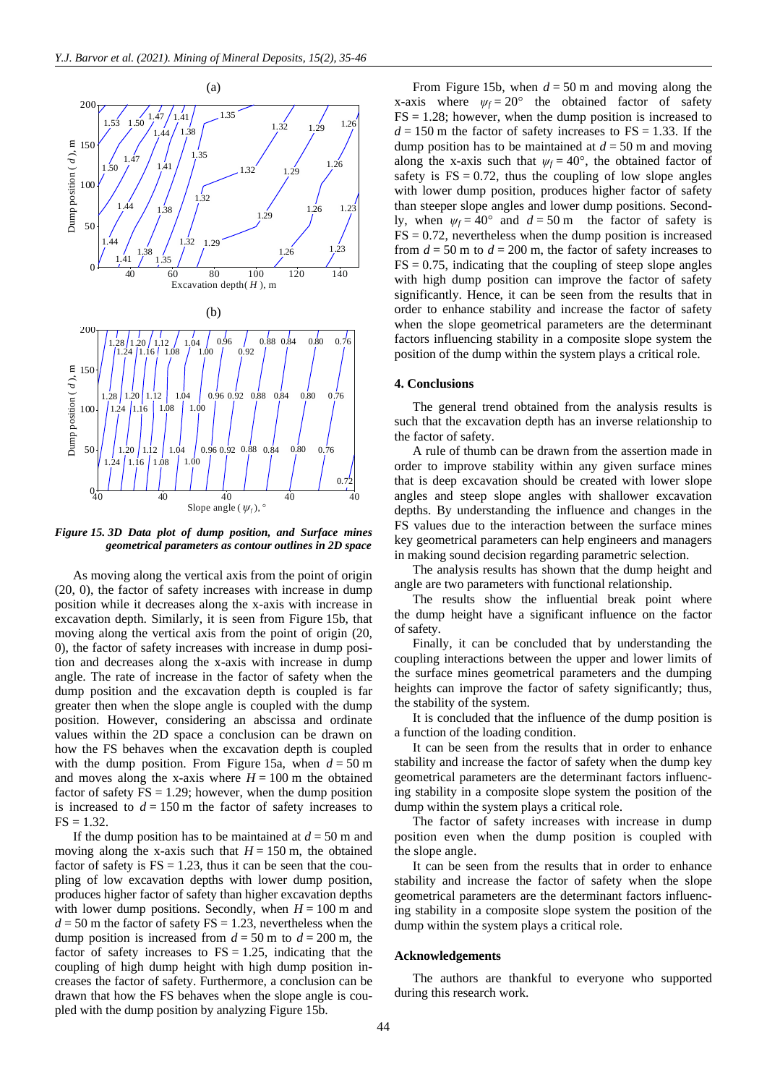

*Figure 15. 3D Data plot of dump position, and Surface mines geometrical parameters as contour outlines in 2D space*

As moving along the vertical axis from the point of origin (20, 0), the factor of safety increases with increase in dump position while it decreases along the x-axis with increase in excavation depth. Similarly, it is seen from Figure 15b, that moving along the vertical axis from the point of origin (20, 0), the factor of safety increases with increase in dump position and decreases along the x-axis with increase in dump angle. The rate of increase in the factor of safety when the dump position and the excavation depth is coupled is far greater then when the slope angle is coupled with the dump position. However, considering an abscissa and ordinate values within the 2D space a conclusion can be drawn on how the FS behaves when the excavation depth is coupled with the dump position. From Figure 15a, when  $d = 50$  m and moves along the x-axis where  $H = 100$  m the obtained factor of safety  $FS = 1.29$ ; however, when the dump position is increased to  $d = 150$  m the factor of safety increases to  $FS = 1.32.$ 

If the dump position has to be maintained at  $d = 50$  m and moving along the x-axis such that  $H = 150$  m, the obtained factor of safety is  $FS = 1.23$ , thus it can be seen that the coupling of low excavation depths with lower dump position, produces higher factor of safety than higher excavation depths with lower dump positions. Secondly, when  $H = 100$  m and  $d = 50$  m the factor of safety  $FS = 1.23$ , nevertheless when the dump position is increased from  $d = 50$  m to  $d = 200$  m, the factor of safety increases to  $FS = 1.25$ , indicating that the coupling of high dump height with high dump position increases the factor of safety. Furthermore, a conclusion can be drawn that how the FS behaves when the slope angle is coupled with the dump position by analyzing Figure 15b.

From Figure 15b, when  $d = 50$  m and moving along the x-axis where  $\psi_f = 20^\circ$  the obtained factor of safety  $FS = 1.28$ ; however, when the dump position is increased to  $d = 150$  m the factor of safety increases to FS = 1.33. If the dump position has to be maintained at  $d = 50$  m and moving along the x-axis such that  $\psi_f = 40^\circ$ , the obtained factor of safety is  $FS = 0.72$ , thus the coupling of low slope angles with lower dump position, produces higher factor of safety than steeper slope angles and lower dump positions. Secondly, when  $\psi_f = 40^\circ$  and  $d = 50$  m the factor of safety is  $FS = 0.72$ , nevertheless when the dump position is increased from  $d = 50$  m to  $d = 200$  m, the factor of safety increases to  $FS = 0.75$ , indicating that the coupling of steep slope angles with high dump position can improve the factor of safety significantly. Hence, it can be seen from the results that in order to enhance stability and increase the factor of safety when the slope geometrical parameters are the determinant factors influencing stability in a composite slope system the position of the dump within the system plays a critical role.

#### **4. Conclusions**

The general trend obtained from the analysis results is such that the excavation depth has an inverse relationship to the factor of safety.

A rule of thumb can be drawn from the assertion made in order to improve stability within any given surface mines that is deep excavation should be created with lower slope angles and steep slope angles with shallower excavation depths. By understanding the influence and changes in the FS values due to the interaction between the surface mines key geometrical parameters can help engineers and managers in making sound decision regarding parametric selection.

The analysis results has shown that the dump height and angle are two parameters with functional relationship.

The results show the influential break point where the dump height have a significant influence on the factor of safety.

Finally, it can be concluded that by understanding the coupling interactions between the upper and lower limits of the surface mines geometrical parameters and the dumping heights can improve the factor of safety significantly; thus, the stability of the system.

It is concluded that the influence of the dump position is a function of the loading condition.

It can be seen from the results that in order to enhance stability and increase the factor of safety when the dump key geometrical parameters are the determinant factors influencing stability in a composite slope system the position of the dump within the system plays a critical role.

The factor of safety increases with increase in dump position even when the dump position is coupled with the slope angle.

It can be seen from the results that in order to enhance stability and increase the factor of safety when the slope geometrical parameters are the determinant factors influencing stability in a composite slope system the position of the dump within the system plays a critical role.

#### **Acknowledgements**

The authors are thankful to everyone who supported during this research work.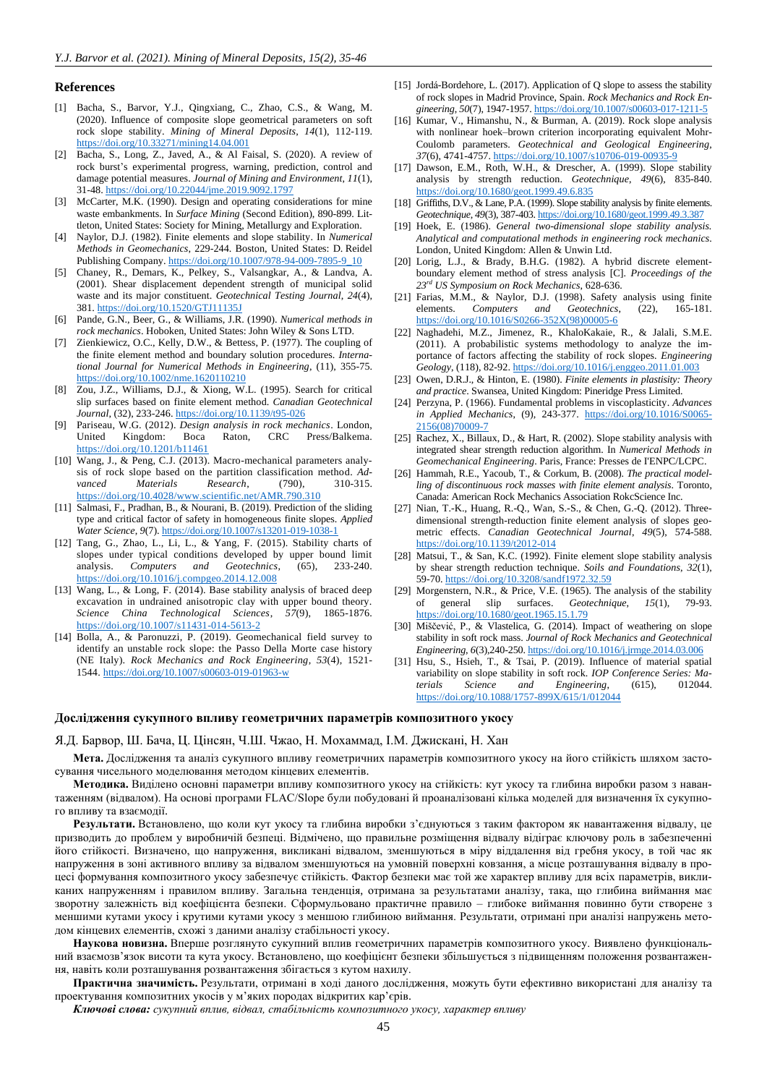#### **References**

- <span id="page-10-0"></span>[1] Bacha, S., Barvor, Y.J., Qingxiang, C., Zhao, C.S., & Wang, M. (2020). Influence of composite slope geometrical parameters on soft rock slope stability. *Mining of Mineral Deposits*, *14*(1), 112-119. <https://doi.org/10.33271/mining14.04.001>
- [2] Bacha, S., Long, Z., Javed, A., & Al Faisal, S. (2020). A review of rock burst's experimental progress, warning, prediction, control and damage potential measures. *Journal of Mining and Environment*, *11*(1), 31-48[. https://doi.org/10.22044/jme.2019.9092.1797](https://doi.org/10.22044/jme.2019.9092.1797)
- [3] McCarter, M.K. (1990). Design and operating considerations for mine waste embankments. In *Surface Mining* (Second Edition), 890-899. Littleton, United States: Society for Mining, Metallurgy and Exploration.
- <span id="page-10-1"></span>[4] Naylor, D.J. (1982). Finite elements and slope stability. In *Numerical Methods in Geomechanics*, 229-244. Boston, United States: D. Reidel Publishing Company. [https://doi.org/10.1007/978-94-009-7895-9\\_10](https://doi.org/10.1007/978-94-009-7895-9_10)
- <span id="page-10-2"></span>[5] Chaney, R., Demars, K., Pelkey, S., Valsangkar, A., & Landva, A. (2001). Shear displacement dependent strength of municipal solid waste and its major constituent. *Geotechnical Testing Journal*, *24*(4), 381[. https://doi.org/10.1520/GTJ11135J](https://doi.org/10.1520/GTJ11135J)
- [6] Pande, G.N., Beer, G., & Williams, J.R. (1990). *Numerical methods in rock mechanics*. Hoboken, United States: John Wiley & Sons LTD.
- [7] Zienkiewicz, O.C., Kelly, D.W., & Bettess, P. (1977). The coupling of the finite element method and boundary solution procedures. *International Journal for Numerical Methods in Engineering*, (11), 355-75. <https://doi.org/10.1002/nme.1620110210>
- <span id="page-10-3"></span>Zou, J.Z., Williams, D.J., & Xiong, W.L. (1995). Search for critical slip surfaces based on finite element method. *Canadian Geotechnical Journal*, (32), 233-246. <https://doi.org/10.1139/t95-026>
- <span id="page-10-4"></span>[9] Pariseau, W.G. (2012). *Design analysis in rock mechanics*. London, United Kingdom: Boca Raton, CRC Press/Balkema. <https://doi.org/10.1201/b11461>
- [10] Wang, J., & Peng, C.J. (2013). Macro-mechanical parameters analysis of rock slope based on the partition classification method. *Advanced Materials Research*, (790), 310-315. <https://doi.org/10.4028/www.scientific.net/AMR.790.310>
- [11] Salmasi, F., Pradhan, B., & Nourani, B. (2019). Prediction of the sliding type and critical factor of safety in homogeneous finite slopes. *Applied Water Science*, *9*(7).<https://doi.org/10.1007/s13201-019-1038-1>
- <span id="page-10-5"></span>[12] Tang, G., Zhao, L., Li, L., & Yang, F. (2015). Stability charts of slopes under typical conditions developed by upper bound limit analysis. *Computers and Geotechnics*, (65), 233-240. <https://doi.org/10.1016/j.compgeo.2014.12.008>
- <span id="page-10-6"></span>[13] Wang, L., & Long, F. (2014). Base stability analysis of braced deep excavation in undrained anisotropic clay with upper bound theory. *Science China Technological Sciences*, *57*(9), 1865-1876. <https://doi.org/10.1007/s11431-014-5613-2>
- [14] Bolla, A., & Paronuzzi, P. (2019). Geomechanical field survey to identify an unstable rock slope: the Passo Della Morte case history (NE Italy). *Rock Mechanics and Rock Engineering*, *53*(4), 1521- 1544.<https://doi.org/10.1007/s00603-019-01963-w>
- [15] Jordá-Bordehore, L. (2017). Application of Q slope to assess the stability of rock slopes in Madrid Province, Spain. *Rock Mechanics and Rock Engineering*, *50*(7), 1947-1957[. https://doi.org/10.1007/s00603-017-1211-5](https://doi.org/10.1007/s00603-017-1211-5)
- <span id="page-10-7"></span>[16] Kumar, V., Himanshu, N., & Burman, A. (2019). Rock slope analysis with nonlinear hoek–brown criterion incorporating equivalent Mohr-Coulomb parameters. *Geotechnical and Geological Engineering*, *37*(6), 4741-4757[. https://doi.org/10.1007/s10706-019-00935-9](https://doi.org/10.1007/s10706-019-00935-9)
- <span id="page-10-8"></span>[17] Dawson, E.M., Roth, W.H., & Drescher, A. (1999). Slope stability analysis by strength reduction. *Geotechnique*, *49*(6), 835-840. <https://doi.org/10.1680/geot.1999.49.6.835>
- <span id="page-10-9"></span>[18] Griffiths, D.V., & Lane, P.A. (1999). Slope stability analysis by finite elements. *Geotechnique*, *49*(3), 387-403. <https://doi.org/10.1680/geot.1999.49.3.387>
- [19] Hoek, E. (1986). *General two-dimensional slope stability analysis. Analytical and computational methods in engineering rock mechanics*. London, United Kingdom: Allen & Unwin Ltd.
- [20] Lorig, L.J., & Brady, B.H.G. (1982). A hybrid discrete elementboundary element method of stress analysis [C]. *Proceedings of the 23rd US Symposium on Rock Mechanics*, 628-636.
- <span id="page-10-10"></span>[21] Farias, M.M., & Naylor, D.J. (1998). Safety analysis using finite elements. *Computers and Geotechnics*, (22), 165-181. [https://doi.org/10.1016/S0266-352X\(98\)00005-6](https://doi.org/10.1016/S0266-352X(98)00005-6)
- <span id="page-10-11"></span>[22] Naghadehi, M.Z., Jimenez, R., KhaloKakaie, R., & Jalali, S.M.E. (2011). A probabilistic systems methodology to analyze the importance of factors affecting the stability of rock slopes. *Engineering Geology*, (118), 82-92[. https://doi.org/10.1016/j.enggeo.2011.01.003](https://doi.org/10.1016/j.enggeo.2011.01.003)
- [23] Owen, D.R.J., & Hinton, E. (1980). *Finite elements in plastisity: Theory and practice*. Swansea, United Kingdom: Pineridge Press Limited.
- [24] Perzyna, P. (1966). Fundamental problems in viscoplasticity. *Advances in Applied Mechanics*, (9), 243-377. [https://doi.org/10.1016/S0065-](https://doi.org/10.1016/S0065-2156(08)70009-7) [2156\(08\)70009-7](https://doi.org/10.1016/S0065-2156(08)70009-7)
- <span id="page-10-12"></span>[25] Rachez, X., Billaux, D., & Hart, R. (2002). Slope stability analysis with integrated shear strength reduction algorithm. In *Numerical Methods in Geomechanical Engineering*. Paris, France: Presses de I'ENPC/LCPC.
- <span id="page-10-13"></span>[26] Hammah, R.E., Yacoub, T., & Corkum, B. (2008). *The practical modelling of discontinuous rock masses with finite element analysis*. Toronto, Canada: American Rock Mechanics Association RokcScience Inc.
- <span id="page-10-14"></span>[27] Nian, T.-K., Huang, R.-Q., Wan, S.-S., & Chen, G.-Q. (2012). Threedimensional strength-reduction finite element analysis of slopes geometric effects. *Canadian Geotechnical Journal*, *49*(5), 574-588. <https://doi.org/10.1139/t2012-014>
- <span id="page-10-15"></span>[28] Matsui, T., & San, K.C. (1992). Finite element slope stability analysis by shear strength reduction technique. *Soils and Foundations*, *32*(1), 59-70.<https://doi.org/10.3208/sandf1972.32.59>
- <span id="page-10-16"></span>[29] Morgenstern, N.R., & Price, V.E. (1965). The analysis of the stability of general slip surfaces. *Geotechnique*, *15*(1), 79-93. <https://doi.org/10.1680/geot.1965.15.1.79>
- <span id="page-10-17"></span>[30] Miščević, P., & Vlastelica, G. (2014). Impact of weathering on slope stability in soft rock mass. *Journal of Rock Mechanics and Geotechnical Engineering*, *6*(3),240-250. <https://doi.org/10.1016/j.jrmge.2014.03.006>
- <span id="page-10-18"></span>[31] Hsu, S., Hsieh, T., & Tsai, P. (2019). Influence of material spatial variability on slope stability in soft rock. *IOP Conference Series: Materials Science and Engineering*, (615), 012044. <https://doi.org/10.1088/1757-899X/615/1/012044>

#### **Дослідження сукупного впливу геометричних параметрів композитного укосу**

#### Я.Д. Барвор, Ш. Бача, Ц. Цінсян, Ч.Ш. Чжао, Н. Мохаммад, І.М. Джискані, Н. Хан

**Мета.** Дослідження та аналіз сукупного впливу геометричних параметрів композитного укосу на його стійкість шляхом застосування чисельного моделювання методом кінцевих елементів.

**Методика.** Виділено основні параметри впливу композитного укосу на стійкість: кут укосу та глибина виробки разом з навантаженням (відвалом). На основі програми FLAC/Slope були побудовані й проаналізовані кілька моделей для визначення їх сукупного впливу та взаємодії.

**Результати.** Встановлено, що коли кут укосу та глибина виробки з'єднуються з таким фактором як навантаження відвалу, це призводить до проблем у виробничій безпеці. Відмічено, що правильне розміщення відвалу відіграє ключову роль в забезпеченні його стійкості. Визначено, що напруження, викликані відвалом, зменшуються в міру віддалення від гребня укосу, в той час як напруження в зоні активного впливу за відвалом зменшуються на умовній поверхні ковзання, а місце розташування відвалу в процесі формування композитного укосу забезпечує стійкість. Фактор безпеки має той же характер впливу для всіх параметрів, викликаних напруженням і правилом впливу. Загальна тенденція, отримана за результатами аналізу, така, що глибина виймання має зворотну залежність від коефіцієнта безпеки. Сформульовано практичне правило – глибоке виймання повинно бути створене з меншими кутами укосу і крутими кутами укосу з меншою глибиною виймання. Результати, отримані при аналізі напружень методом кінцевих елементів, схожі з даними аналізу стабільності укосу.

**Наукова новизна.** Вперше розглянуто сукупний вплив геометричних параметрів композитного укосу. Виявлено функціональний взаємозв'язок висоти та кута укосу. Встановлено, що коефіцієнт безпеки збільшується з підвищенням положення розвантаженнавіть коли розташування розвантаження збігається з кутом нахилу.

**Практична значимість.** Результати, отримані в ході даного дослідження, можуть бути ефективно використані для аналізу та проектування композитних укосів у м'яких породах відкритих кар'єрів.

*Ключові слова: сукупний вплив, відвал, стабільність композитного укосу, характер впливу*